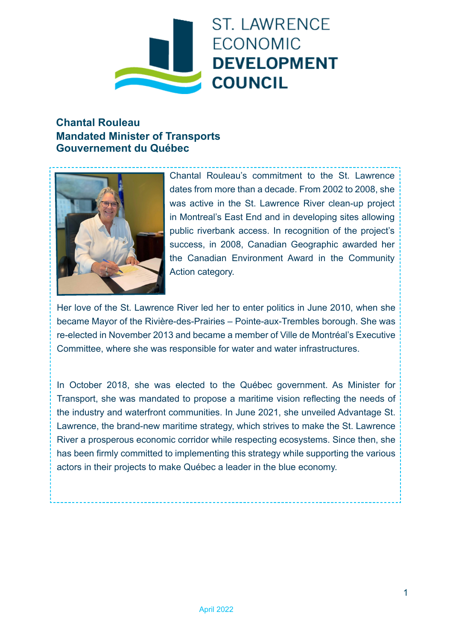

## **Chantal Rouleau Mandated Minister of Transports Gouvernement du Québec**



Chantal Rouleau's commitment to the St. Lawrence dates from more than a decade. From 2002 to 2008, she was active in the St. Lawrence River clean-up project in Montreal's East End and in developing sites allowing public riverbank access. In recognition of the project's success, in 2008, Canadian Geographic awarded her the Canadian Environment Award in the Community Action category.

Her love of the St. Lawrence River led her to enter politics in June 2010, when she became Mayor of the Rivière-des-Prairies – Pointe-aux-Trembles borough. She was re-elected in November 2013 and became a member of Ville de Montréal's Executive Committee, where she was responsible for water and water infrastructures.

In October 2018, she was elected to the Québec government. As Minister for Transport, she was mandated to propose a maritime vision reflecting the needs of the industry and waterfront communities. In June 2021, she unveiled Advantage St. Lawrence, the brand-new maritime strategy, which strives to make the St. Lawrence River a prosperous economic corridor while respecting ecosystems. Since then, she has been firmly committed to implementing this strategy while supporting the various actors in their projects to make Québec a leader in the blue economy.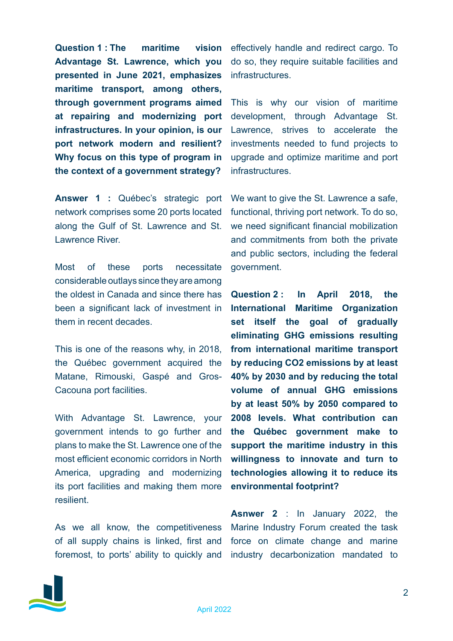**Question 1 : The maritime vision Advantage St. Lawrence, which you presented in June 2021, emphasizes maritime transport, among others, through government programs aimed at repairing and modernizing port infrastructures. In your opinion, is our port network modern and resilient? Why focus on this type of program in the context of a government strategy?**

**Answer 1 :** Québec's strategic port network comprises some 20 ports located along the Gulf of St. Lawrence and St. Lawrence River.

Most of these ports necessitate considerable outlays since they are among the oldest in Canada and since there has been a significant lack of investment in them in recent decades.

This is one of the reasons why, in 2018, the Québec government acquired the Matane, Rimouski, Gaspé and Gros-Cacouna port facilities.

With Advantage St. Lawrence, your government intends to go further and plans to make the St. Lawrence one of the most efficient economic corridors in North America, upgrading and modernizing its port facilities and making them more resilient.

As we all know, the competitiveness of all supply chains is linked, first and foremost, to ports' ability to quickly and effectively handle and redirect cargo. To do so, they require suitable facilities and infrastructures.

This is why our vision of maritime development, through Advantage St. Lawrence, strives to accelerate the investments needed to fund projects to upgrade and optimize maritime and port infrastructures.

We want to give the St. Lawrence a safe, functional, thriving port network. To do so, we need significant financial mobilization and commitments from both the private and public sectors, including the federal government.

**Question 2 : In April 2018, the International Maritime Organization set itself the goal of gradually eliminating GHG emissions resulting from international maritime transport by reducing CO2 emissions by at least 40% by 2030 and by reducing the total volume of annual GHG emissions by at least 50% by 2050 compared to 2008 levels. What contribution can the Québec government make to support the maritime industry in this willingness to innovate and turn to technologies allowing it to reduce its environmental footprint?**

**Asnwer 2** : In January 2022, the Marine Industry Forum created the task force on climate change and marine industry decarbonization mandated to

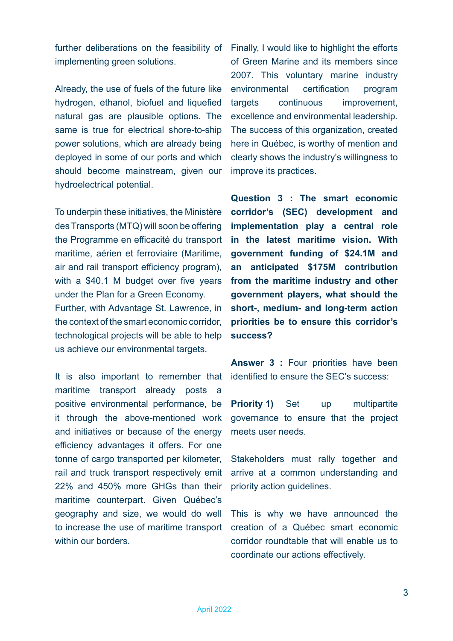further deliberations on the feasibility of implementing green solutions.

Already, the use of fuels of the future like hydrogen, ethanol, biofuel and liquefied natural gas are plausible options. The same is true for electrical shore-to-ship power solutions, which are already being deployed in some of our ports and which should become mainstream, given our hydroelectrical potential.

To underpin these initiatives, the Ministère des Transports (MTQ) will soon be offering the Programme en efficacité du transport maritime, aérien et ferroviaire (Maritime, air and rail transport efficiency program), with a \$40.1 M budget over five years under the Plan for a Green Economy. Further, with Advantage St. Lawrence, in the context of the smart economic corridor, technological projects will be able to help us achieve our environmental targets.

It is also important to remember that maritime transport already posts a positive environmental performance, be it through the above-mentioned work and initiatives or because of the energy efficiency advantages it offers. For one tonne of cargo transported per kilometer. rail and truck transport respectively emit 22% and 450% more GHGs than their maritime counterpart. Given Québec's geography and size, we would do well to increase the use of maritime transport within our borders.

Finally, I would like to highlight the efforts of Green Marine and its members since 2007. This voluntary marine industry environmental certification program targets continuous improvement, excellence and environmental leadership. The success of this organization, created here in Québec, is worthy of mention and clearly shows the industry's willingness to improve its practices.

**Question 3 : The smart economic corridor's (SEC) development and implementation play a central role in the latest maritime vision. With government funding of \$24.1M and an anticipated \$175M contribution from the maritime industry and other government players, what should the short-, medium- and long-term action priorities be to ensure this corridor's success?**

Answer 3 : Four priorities have been identified to ensure the SEC's success:

**Priority 1)** Set up multipartite governance to ensure that the project meets user needs.

Stakeholders must rally together and arrive at a common understanding and priority action guidelines.

This is why we have announced the creation of a Québec smart economic corridor roundtable that will enable us to coordinate our actions effectively.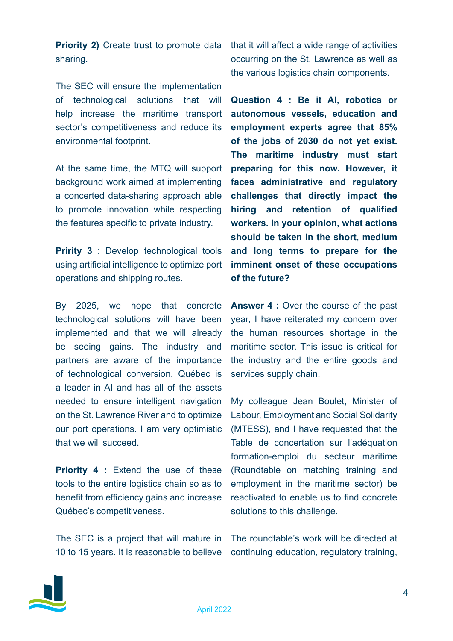**Priority 2)** Create trust to promote data sharing.

The SEC will ensure the implementation of technological solutions that will help increase the maritime transport sector's competitiveness and reduce its environmental footprint.

At the same time, the MTQ will support background work aimed at implementing a concerted data-sharing approach able to promote innovation while respecting the features specific to private industry.

**Pririty 3** : Develop technological tools using artificial intelligence to optimize port operations and shipping routes.

By 2025, we hope that concrete technological solutions will have been implemented and that we will already be seeing gains. The industry and partners are aware of the importance of technological conversion. Québec is a leader in AI and has all of the assets needed to ensure intelligent navigation on the St. Lawrence River and to optimize our port operations. I am very optimistic that we will succeed.

**Priority 4 :** Extend the use of these tools to the entire logistics chain so as to benefit from efficiency gains and increase Québec's competitiveness.

The SEC is a project that will mature in 10 to 15 years. It is reasonable to believe that it will affect a wide range of activities occurring on the St. Lawrence as well as the various logistics chain components.

**Question 4 : Be it AI, robotics or autonomous vessels, education and employment experts agree that 85% of the jobs of 2030 do not yet exist. The maritime industry must start preparing for this now. However, it faces administrative and regulatory challenges that directly impact the hiring and retention of qualified workers. In your opinion, what actions should be taken in the short, medium and long terms to prepare for the imminent onset of these occupations of the future?**

**Answer 4 : Over the course of the past** year, I have reiterated my concern over the human resources shortage in the maritime sector. This issue is critical for the industry and the entire goods and services supply chain.

My colleague Jean Boulet, Minister of Labour, Employment and Social Solidarity (MTESS), and I have requested that the Table de concertation sur l'adéquation formation-emploi du secteur maritime (Roundtable on matching training and employment in the maritime sector) be reactivated to enable us to find concrete solutions to this challenge.

The roundtable's work will be directed at continuing education, regulatory training,